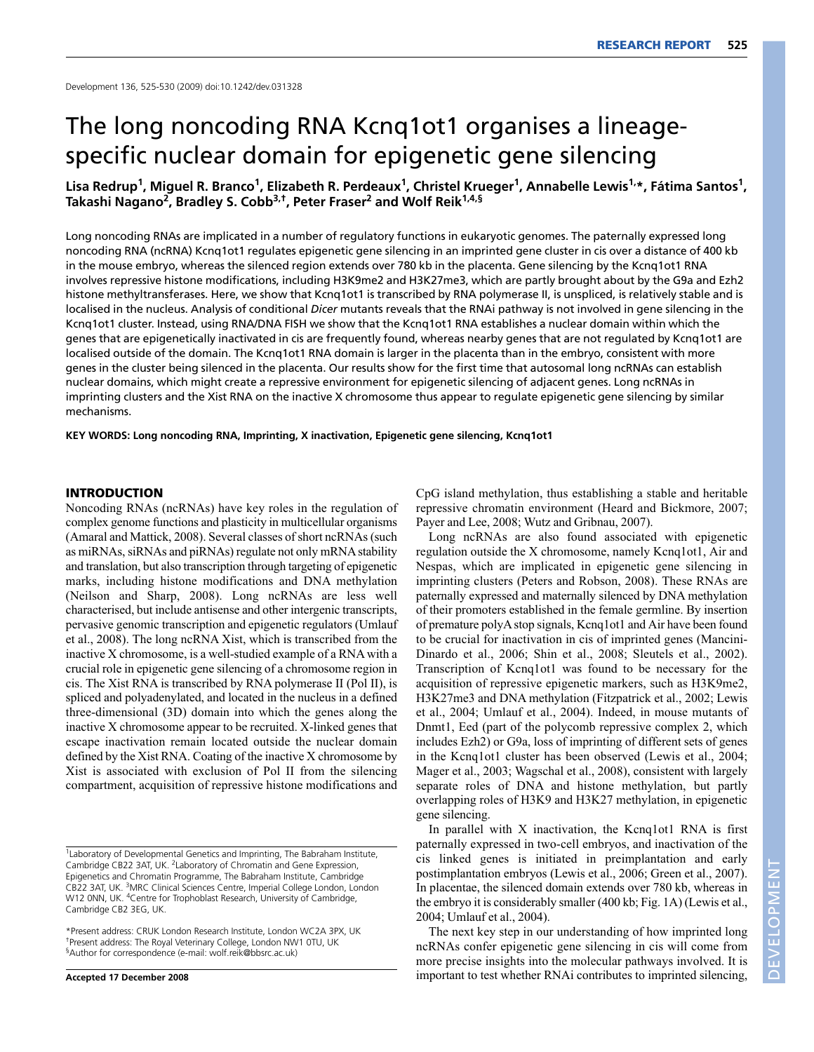# The long noncoding RNA Kcnq1ot1 organises a lineagespecific nuclear domain for epigenetic gene silencing

Lisa Redrup<sup>1</sup>, Miguel R. Branco<sup>1</sup>, Elizabeth R. Perdeaux<sup>1</sup>, Christel Krueger<sup>1</sup>, Annabelle Lewis<sup>1,\*</sup>, Fátima Santos<sup>1</sup>, **Takashi Nagano2, Bradley S. Cobb3,†, Peter Fraser2 and Wolf Reik1,4,§**

Long noncoding RNAs are implicated in a number of regulatory functions in eukaryotic genomes. The paternally expressed long noncoding RNA (ncRNA) Kcnq1ot1 regulates epigenetic gene silencing in an imprinted gene cluster in cis over a distance of 400 kb in the mouse embryo, whereas the silenced region extends over 780 kb in the placenta. Gene silencing by the Kcnq1ot1 RNA involves repressive histone modifications, including H3K9me2 and H3K27me3, which are partly brought about by the G9a and Ezh2 histone methyltransferases. Here, we show that Kcng1ot1 is transcribed by RNA polymerase II, is unspliced, is relatively stable and is localised in the nucleus. Analysis of conditional *Dicer* mutants reveals that the RNAi pathway is not involved in gene silencing in the Kcnq1ot1 cluster. Instead, using RNA/DNA FISH we show that the Kcnq1ot1 RNA establishes a nuclear domain within which the genes that are epigenetically inactivated in cis are frequently found, whereas nearby genes that are not regulated by Kcnq1ot1 are localised outside of the domain. The Kcnq1ot1 RNA domain is larger in the placenta than in the embryo, consistent with more genes in the cluster being silenced in the placenta. Our results show for the first time that autosomal long ncRNAs can establish nuclear domains, which might create a repressive environment for epigenetic silencing of adjacent genes. Long ncRNAs in imprinting clusters and the Xist RNA on the inactive X chromosome thus appear to regulate epigenetic gene silencing by similar mechanisms.

**KEY WORDS: Long noncoding RNA, Imprinting, X inactivation, Epigenetic gene silencing, Kcnq1ot1**

## **INTRODUCTION**

Noncoding RNAs (ncRNAs) have key roles in the regulation of complex genome functions and plasticity in multicellular organisms (Amaral and Mattick, 2008). Several classes of short ncRNAs (such as miRNAs, siRNAs and piRNAs) regulate not only mRNA stability and translation, but also transcription through targeting of epigenetic marks, including histone modifications and DNA methylation (Neilson and Sharp, 2008). Long ncRNAs are less well characterised, but include antisense and other intergenic transcripts, pervasive genomic transcription and epigenetic regulators (Umlauf et al., 2008). The long ncRNA Xist, which is transcribed from the inactive X chromosome, is a well-studied example of a RNA with a crucial role in epigenetic gene silencing of a chromosome region in cis. The Xist RNA is transcribed by RNA polymerase II (Pol II), is spliced and polyadenylated, and located in the nucleus in a defined three-dimensional (3D) domain into which the genes along the inactive X chromosome appear to be recruited. X-linked genes that escape inactivation remain located outside the nuclear domain defined by the Xist RNA. Coating of the inactive X chromosome by Xist is associated with exclusion of Pol II from the silencing compartment, acquisition of repressive histone modifications and

**Accepted 17 December 2008**

CpG island methylation, thus establishing a stable and heritable repressive chromatin environment (Heard and Bickmore, 2007; Payer and Lee, 2008; Wutz and Gribnau, 2007).

Long ncRNAs are also found associated with epigenetic regulation outside the X chromosome, namely Kcnq1ot1, Air and Nespas, which are implicated in epigenetic gene silencing in imprinting clusters (Peters and Robson, 2008). These RNAs are paternally expressed and maternally silenced by DNA methylation of their promoters established in the female germline. By insertion of premature polyA stop signals, Kcnq1ot1 and Air have been found to be crucial for inactivation in cis of imprinted genes (Mancini-Dinardo et al., 2006; Shin et al., 2008; Sleutels et al., 2002). Transcription of Kcnq1ot1 was found to be necessary for the acquisition of repressive epigenetic markers, such as H3K9me2, H3K27me3 and DNA methylation (Fitzpatrick et al., 2002; Lewis et al., 2004; Umlauf et al., 2004). Indeed, in mouse mutants of Dnmt1, Eed (part of the polycomb repressive complex 2, which includes Ezh2) or G9a, loss of imprinting of different sets of genes in the Kcnq1ot1 cluster has been observed (Lewis et al., 2004; Mager et al., 2003; Wagschal et al., 2008), consistent with largely separate roles of DNA and histone methylation, but partly overlapping roles of H3K9 and H3K27 methylation, in epigenetic gene silencing.

In parallel with X inactivation, the Kcnq1ot1 RNA is first paternally expressed in two-cell embryos, and inactivation of the cis linked genes is initiated in preimplantation and early postimplantation embryos (Lewis et al., 2006; Green et al., 2007). In placentae, the silenced domain extends over 780 kb, whereas in the embryo it is considerably smaller (400 kb; Fig. 1A) (Lewis et al., 2004; Umlauf et al., 2004).

The next key step in our understanding of how imprinted long ncRNAs confer epigenetic gene silencing in cis will come from more precise insights into the molecular pathways involved. It is important to test whether RNAi contributes to imprinted silencing,

<sup>1</sup>Laboratory of Developmental Genetics and Imprinting, The Babraham Institute, Cambridge CB22 3AT, UK. 2Laboratory of Chromatin and Gene Expression, Epigenetics and Chromatin Programme, The Babraham Institute, Cambridge CB22 3AT, UK. 3MRC Clinical Sciences Centre, Imperial College London, London W12 0NN, UK. 4Centre for Trophoblast Research, University of Cambridge, Cambridge CB2 3EG, UK.

<sup>\*</sup>Present address: CRUK London Research Institute, London WC2A 3PX, UK †Present address: The Royal Veterinary College, London NW1 0TU, UK §Author for correspondence (e-mail: wolf.reik@bbsrc.ac.uk)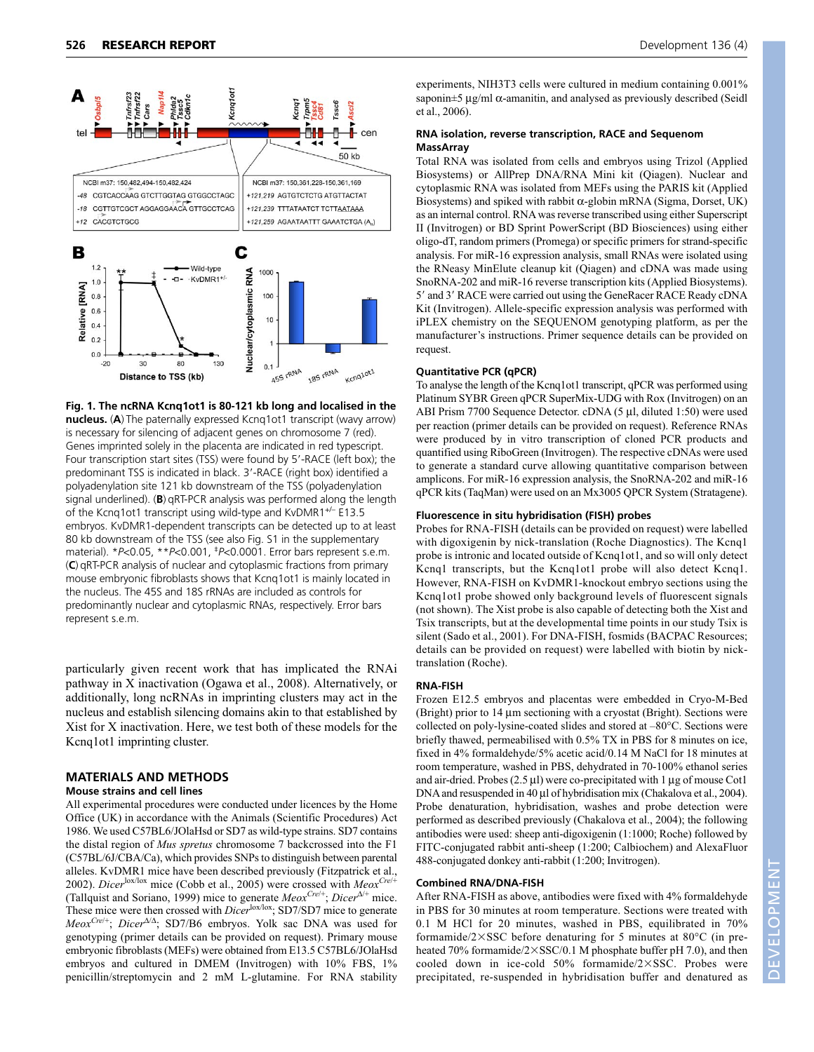

**Fig. 1. The ncRNA Kcnq1ot1 is 80-121 kb long and localised in the nucleus.** (**A**) The paternally expressed Kcnq1ot1 transcript (wavy arrow) is necessary for silencing of adjacent genes on chromosome 7 (red). Genes imprinted solely in the placenta are indicated in red typescript. Four transcription start sites (TSS) were found by 5'-RACE (left box); the predominant TSS is indicated in black. 3'-RACE (right box) identified a polyadenylation site 121 kb downstream of the TSS (polyadenylation signal underlined). (**B**) qRT-PCR analysis was performed along the length of the Kcnq1ot1 transcript using wild-type and KvDMR1+/– E13.5 embryos. KvDMR1-dependent transcripts can be detected up to at least 80 kb downstream of the TSS (see also Fig. S1 in the supplementary material). \**P*<0.05, \*\**P*<0.001, ‡*P*<0.0001. Error bars represent s.e.m. (**C**) qRT-PCR analysis of nuclear and cytoplasmic fractions from primary mouse embryonic fibroblasts shows that Kcnq1ot1 is mainly located in the nucleus. The 45S and 18S rRNAs are included as controls for predominantly nuclear and cytoplasmic RNAs, respectively. Error bars represent s.e.m.

particularly given recent work that has implicated the RNAi pathway in X inactivation (Ogawa et al., 2008). Alternatively, or additionally, long ncRNAs in imprinting clusters may act in the nucleus and establish silencing domains akin to that established by Xist for X inactivation. Here, we test both of these models for the Kcnq1ot1 imprinting cluster.

## **MATERIALS AND METHODS**

#### **Mouse strains and cell lines**

All experimental procedures were conducted under licences by the Home Office (UK) in accordance with the Animals (Scientific Procedures) Act 1986. We used C57BL6/JOlaHsd or SD7 as wild-type strains. SD7 contains the distal region of *Mus spretus* chromosome 7 backcrossed into the F1 (C57BL/6J/CBA/Ca), which provides SNPs to distinguish between parental alleles. KvDMR1 mice have been described previously (Fitzpatrick et al., 2002). *Dicer*lox/lox mice (Cobb et al., 2005) were crossed with *MeoxCre*/+ (Tallquist and Soriano, 1999) mice to generate *MeoxCre*/+; *Dicer*<sup>Δ</sup>/+ mice. These mice were then crossed with *Dicer*lox/lox; SD7/SD7 mice to generate *MeoxCre*/+; *Dicer*<sup>Δ</sup>/<sup>Δ</sup>; SD7/B6 embryos. Yolk sac DNA was used for genotyping (primer details can be provided on request). Primary mouse embryonic fibroblasts (MEFs) were obtained from E13.5 C57BL6/JOlaHsd embryos and cultured in DMEM (Invitrogen) with 10% FBS, 1% penicillin/streptomycin and 2 mM L-glutamine. For RNA stability

experiments, NIH3T3 cells were cultured in medium containing 0.001% saponin $\pm$ 5 μg/ml  $\alpha$ -amanitin, and analysed as previously described (Seidl et al., 2006).

#### **RNA isolation, reverse transcription, RACE and Sequenom MassArray**

Total RNA was isolated from cells and embryos using Trizol (Applied Biosystems) or AllPrep DNA/RNA Mini kit (Qiagen). Nuclear and cytoplasmic RNA was isolated from MEFs using the PARIS kit (Applied Biosystems) and spiked with rabbit  $\alpha$ -globin mRNA (Sigma, Dorset, UK) as an internal control. RNA was reverse transcribed using either Superscript II (Invitrogen) or BD Sprint PowerScript (BD Biosciences) using either oligo-dT, random primers (Promega) or specific primers for strand-specific analysis. For miR-16 expression analysis, small RNAs were isolated using the RNeasy MinElute cleanup kit (Qiagen) and cDNA was made using SnoRNA-202 and miR-16 reverse transcription kits (Applied Biosystems). 5' and 3' RACE were carried out using the GeneRacer RACE Ready cDNA Kit (Invitrogen). Allele-specific expression analysis was performed with iPLEX chemistry on the SEQUENOM genotyping platform, as per the manufacturer's instructions. Primer sequence details can be provided on request.

#### **Quantitative PCR (qPCR)**

To analyse the length of the Kcnq1ot1 transcript, qPCR was performed using Platinum SYBR Green qPCR SuperMix-UDG with Rox (Invitrogen) on an ABI Prism 7700 Sequence Detector. cDNA (5 μl, diluted 1:50) were used per reaction (primer details can be provided on request). Reference RNAs were produced by in vitro transcription of cloned PCR products and quantified using RiboGreen (Invitrogen). The respective cDNAs were used to generate a standard curve allowing quantitative comparison between amplicons. For miR-16 expression analysis, the SnoRNA-202 and miR-16 qPCR kits (TaqMan) were used on an Mx3005 QPCR System (Stratagene).

#### **Fluorescence in situ hybridisation (FISH) probes**

Probes for RNA-FISH (details can be provided on request) were labelled with digoxigenin by nick-translation (Roche Diagnostics). The Kcnq1 probe is intronic and located outside of Kcnq1ot1, and so will only detect Kcnq1 transcripts, but the Kcnq1ot1 probe will also detect Kcnq1. However, RNA-FISH on KvDMR1-knockout embryo sections using the Kcnq1ot1 probe showed only background levels of fluorescent signals (not shown). The Xist probe is also capable of detecting both the Xist and Tsix transcripts, but at the developmental time points in our study Tsix is silent (Sado et al., 2001). For DNA-FISH, fosmids (BACPAC Resources; details can be provided on request) were labelled with biotin by nicktranslation (Roche).

# **RNA-FISH**

Frozen E12.5 embryos and placentas were embedded in Cryo-M-Bed (Bright) prior to 14 μm sectioning with a cryostat (Bright). Sections were collected on poly-lysine-coated slides and stored at –80°C. Sections were briefly thawed, permeabilised with 0.5% TX in PBS for 8 minutes on ice, fixed in 4% formaldehyde/5% acetic acid/0.14 M NaCl for 18 minutes at room temperature, washed in PBS, dehydrated in 70-100% ethanol series and air-dried. Probes (2.5 μl) were co-precipitated with 1 μg of mouse Cot1 DNA and resuspended in 40 μl of hybridisation mix (Chakalova et al., 2004). Probe denaturation, hybridisation, washes and probe detection were performed as described previously (Chakalova et al., 2004); the following antibodies were used: sheep anti-digoxigenin (1:1000; Roche) followed by FITC-conjugated rabbit anti-sheep (1:200; Calbiochem) and AlexaFluor 488-conjugated donkey anti-rabbit (1:200; Invitrogen).

## **Combined RNA/DNA-FISH**

After RNA-FISH as above, antibodies were fixed with 4% formaldehyde in PBS for 30 minutes at room temperature. Sections were treated with 0.1 M HCl for 20 minutes, washed in PBS, equilibrated in 70% formamide/ $2\times$ SSC before denaturing for 5 minutes at 80 $\degree$ C (in preheated 70% formamide/2×SSC/0.1 M phosphate buffer pH 7.0), and then cooled down in ice-cold 50% formamide/2SSC. Probes were precipitated, re-suspended in hybridisation buffer and denatured as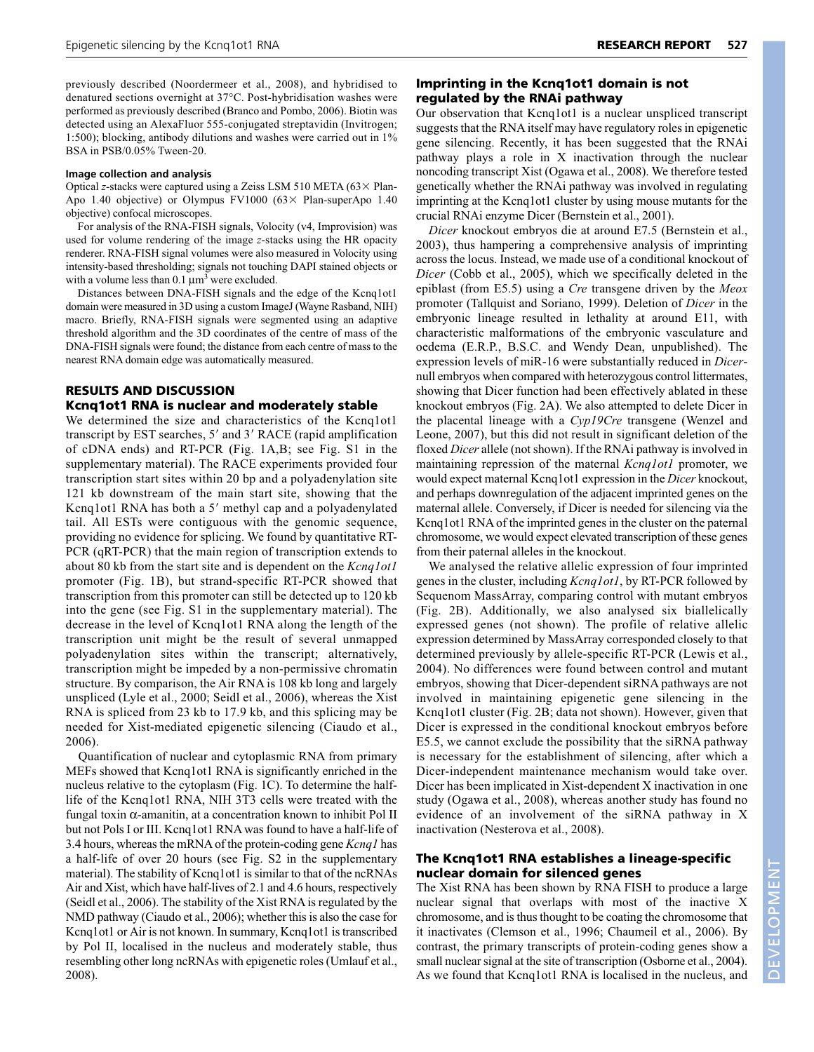previously described (Noordermeer et al., 2008), and hybridised to denatured sections overnight at 37°C. Post-hybridisation washes were performed as previously described (Branco and Pombo, 2006). Biotin was detected using an AlexaFluor 555-conjugated streptavidin (Invitrogen; 1:500); blocking, antibody dilutions and washes were carried out in 1% BSA in PSB/0.05% Tween-20.

#### **Image collection and analysis**

Optical *z*-stacks were captured using a Zeiss LSM 510 META  $(63 \times$  Plan-Apo 1.40 objective) or Olympus FV1000 ( $63 \times$  Plan-superApo 1.40 objective) confocal microscopes.

For analysis of the RNA-FISH signals, Volocity (v4, Improvision) was used for volume rendering of the image *z*-stacks using the HR opacity renderer. RNA-FISH signal volumes were also measured in Volocity using intensity-based thresholding; signals not touching DAPI stained objects or with a volume less than  $0.1 \mu m^3$  were excluded.

Distances between DNA-FISH signals and the edge of the Kcnq1ot1 domain were measured in 3D using a custom ImageJ (Wayne Rasband, NIH) macro. Briefly, RNA-FISH signals were segmented using an adaptive threshold algorithm and the 3D coordinates of the centre of mass of the DNA-FISH signals were found; the distance from each centre of mass to the nearest RNA domain edge was automatically measured.

# **RESULTS AND DISCUSSION Kcnq1ot1 RNA is nuclear and moderately stable**

We determined the size and characteristics of the Kcnq1ot1 transcript by EST searches, 5' and 3' RACE (rapid amplification of cDNA ends) and RT-PCR (Fig. 1A,B; see Fig. S1 in the supplementary material). The RACE experiments provided four transcription start sites within 20 bp and a polyadenylation site 121 kb downstream of the main start site, showing that the Kcnq1ot1 RNA has both a 5' methyl cap and a polyadenylated tail. All ESTs were contiguous with the genomic sequence, providing no evidence for splicing. We found by quantitative RT-PCR (qRT-PCR) that the main region of transcription extends to about 80 kb from the start site and is dependent on the *Kcnq1ot1* promoter (Fig. 1B), but strand-specific RT-PCR showed that transcription from this promoter can still be detected up to 120 kb into the gene (see Fig. S1 in the supplementary material). The decrease in the level of Kcnq1ot1 RNA along the length of the transcription unit might be the result of several unmapped polyadenylation sites within the transcript; alternatively, transcription might be impeded by a non-permissive chromatin structure. By comparison, the Air RNA is 108 kb long and largely unspliced (Lyle et al., 2000; Seidl et al., 2006), whereas the Xist RNA is spliced from 23 kb to 17.9 kb, and this splicing may be needed for Xist-mediated epigenetic silencing (Ciaudo et al., 2006).

Quantification of nuclear and cytoplasmic RNA from primary MEFs showed that Kcnq1ot1 RNA is significantly enriched in the nucleus relative to the cytoplasm (Fig. 1C). To determine the halflife of the Kcnq1ot1 RNA, NIH 3T3 cells were treated with the fungal toxin α-amanitin, at a concentration known to inhibit Pol II but not Pols I or III. Kcnq1ot1 RNA was found to have a half-life of 3.4 hours, whereas the mRNA of the protein-coding gene *Kcnq1* has a half-life of over 20 hours (see Fig. S2 in the supplementary material). The stability of Kcnq1ot1 is similar to that of the ncRNAs Air and Xist, which have half-lives of 2.1 and 4.6 hours, respectively (Seidl et al., 2006). The stability of the Xist RNA is regulated by the NMD pathway (Ciaudo et al., 2006); whether this is also the case for Kcnq1ot1 or Air is not known. In summary, Kcnq1ot1 is transcribed by Pol II, localised in the nucleus and moderately stable, thus resembling other long ncRNAs with epigenetic roles (Umlauf et al., 2008).

## **Imprinting in the Kcnq1ot1 domain is not regulated by the RNAi pathway**

Our observation that Kcnq1ot1 is a nuclear unspliced transcript suggests that the RNA itself may have regulatory roles in epigenetic gene silencing. Recently, it has been suggested that the RNAi pathway plays a role in X inactivation through the nuclear noncoding transcript Xist (Ogawa et al., 2008). We therefore tested genetically whether the RNAi pathway was involved in regulating imprinting at the Kcnq1ot1 cluster by using mouse mutants for the crucial RNAi enzyme Dicer (Bernstein et al., 2001).

*Dicer* knockout embryos die at around E7.5 (Bernstein et al., 2003), thus hampering a comprehensive analysis of imprinting across the locus. Instead, we made use of a conditional knockout of *Dicer* (Cobb et al., 2005), which we specifically deleted in the epiblast (from E5.5) using a *Cre* transgene driven by the *Meox* promoter (Tallquist and Soriano, 1999). Deletion of *Dicer* in the embryonic lineage resulted in lethality at around E11, with characteristic malformations of the embryonic vasculature and oedema (E.R.P., B.S.C. and Wendy Dean, unpublished). The expression levels of miR-16 were substantially reduced in *Dicer*null embryos when compared with heterozygous control littermates, showing that Dicer function had been effectively ablated in these knockout embryos (Fig. 2A). We also attempted to delete Dicer in the placental lineage with a *Cyp19Cre* transgene (Wenzel and Leone, 2007), but this did not result in significant deletion of the floxed *Dicer* allele (not shown). If the RNAi pathway is involved in maintaining repression of the maternal *Kcnq1ot1* promoter, we would expect maternal Kcnq1ot1 expression in the *Dicer* knockout, and perhaps downregulation of the adjacent imprinted genes on the maternal allele. Conversely, if Dicer is needed for silencing via the Kcnq1ot1 RNA of the imprinted genes in the cluster on the paternal chromosome, we would expect elevated transcription of these genes from their paternal alleles in the knockout.

We analysed the relative allelic expression of four imprinted genes in the cluster, including *Kcnq1ot1*, by RT-PCR followed by Sequenom MassArray, comparing control with mutant embryos (Fig. 2B). Additionally, we also analysed six biallelically expressed genes (not shown). The profile of relative allelic expression determined by MassArray corresponded closely to that determined previously by allele-specific RT-PCR (Lewis et al., 2004). No differences were found between control and mutant embryos, showing that Dicer-dependent siRNA pathways are not involved in maintaining epigenetic gene silencing in the Kcnq1ot1 cluster (Fig. 2B; data not shown). However, given that Dicer is expressed in the conditional knockout embryos before E5.5, we cannot exclude the possibility that the siRNA pathway is necessary for the establishment of silencing, after which a Dicer-independent maintenance mechanism would take over. Dicer has been implicated in Xist-dependent X inactivation in one study (Ogawa et al., 2008), whereas another study has found no evidence of an involvement of the siRNA pathway in X inactivation (Nesterova et al., 2008).

# **The Kcnq1ot1 RNA establishes a lineage-specific nuclear domain for silenced genes**

The Xist RNA has been shown by RNA FISH to produce a large nuclear signal that overlaps with most of the inactive X chromosome, and is thus thought to be coating the chromosome that it inactivates (Clemson et al., 1996; Chaumeil et al., 2006). By contrast, the primary transcripts of protein-coding genes show a small nuclear signal at the site of transcription (Osborne et al., 2004). As we found that Kcnq1ot1 RNA is localised in the nucleus, and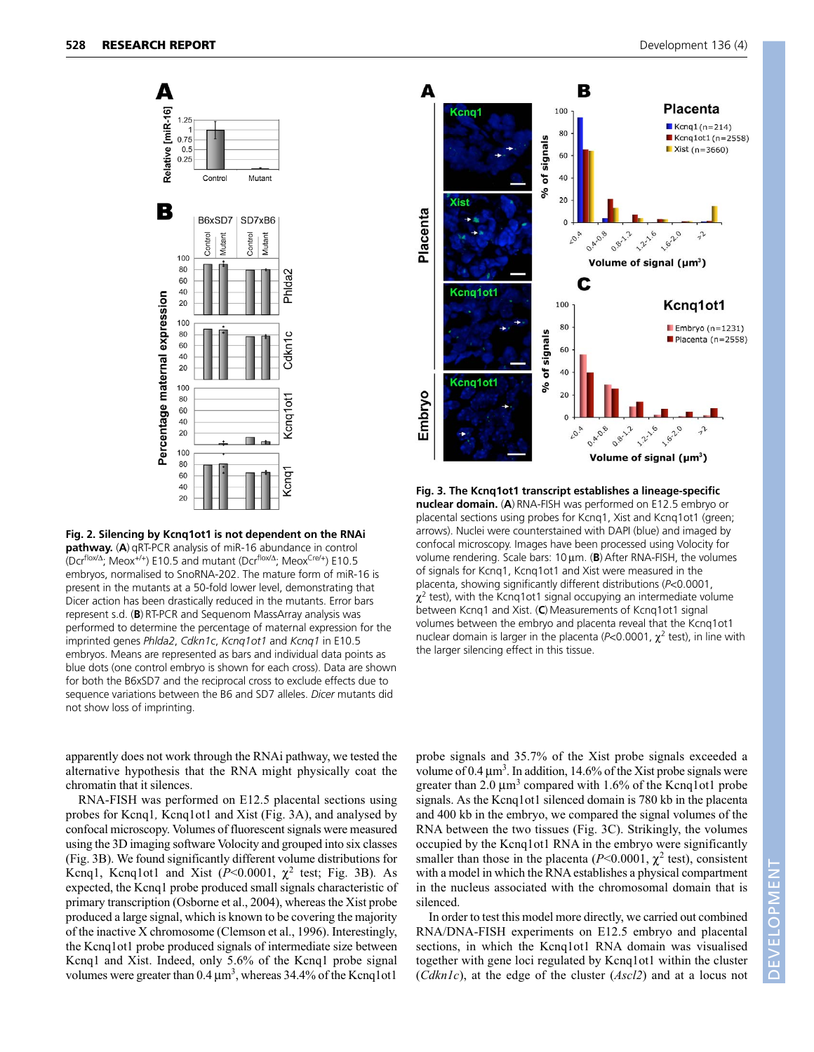

**Fig. 2. Silencing by Kcnq1ot1 is not dependent on the RNAi pathway.** (**A**) qRT-PCR analysis of miR-16 abundance in control (Dcr<sup>flox/Δ</sup>; Meox<sup>+/+</sup>) E10.5 and mutant (Dcr<sup>flox/Δ</sup>; Meox<sup>Cre/+</sup>) E10.5 embryos, normalised to SnoRNA-202. The mature form of miR-16 is present in the mutants at a 50-fold lower level, demonstrating that Dicer action has been drastically reduced in the mutants. Error bars represent s.d. (**B**) RT-PCR and Sequenom MassArray analysis was performed to determine the percentage of maternal expression for the imprinted genes *Phlda2*, *Cdkn1c*, *Kcnq1ot1* and *Kcnq1* in E10.5 embryos. Means are represented as bars and individual data points as blue dots (one control embryo is shown for each cross). Data are shown for both the B6xSD7 and the reciprocal cross to exclude effects due to sequence variations between the B6 and SD7 alleles. *Dicer* mutants did not show loss of imprinting.



**Fig. 3. The Kcnq1ot1 transcript establishes a lineage-specific nuclear domain.** (**A**) RNA-FISH was performed on E12.5 embryo or placental sections using probes for Kcnq1, Xist and Kcnq1ot1 (green; arrows). Nuclei were counterstained with DAPI (blue) and imaged by confocal microscopy. Images have been processed using Volocity for volume rendering. Scale bars: 10 μm. (**B**) After RNA-FISH, the volumes of signals for Kcnq1, Kcnq1ot1 and Xist were measured in the placenta, showing significantly different distributions (*P*<0.0001,  $\chi^2$  test), with the Kcnq1ot1 signal occupying an intermediate volume between Kcnq1 and Xist. (**C**) Measurements of Kcnq1ot1 signal volumes between the embryo and placenta reveal that the Kcnq1ot1 nuclear domain is larger in the placenta ( $P$ <0.0001,  $\chi^2$  test), in line with the larger silencing effect in this tissue.

apparently does not work through the RNAi pathway, we tested the alternative hypothesis that the RNA might physically coat the chromatin that it silences.

RNA-FISH was performed on E12.5 placental sections using probes for Kcnq1*,* Kcnq1ot1 and Xist (Fig. 3A), and analysed by confocal microscopy. Volumes of fluorescent signals were measured using the 3D imaging software Volocity and grouped into six classes (Fig. 3B). We found significantly different volume distributions for Kcnq1, Kcnq1ot1 and Xist  $(P<0.0001, \chi^2$  test; Fig. 3B). As expected, the Kcnq1 probe produced small signals characteristic of primary transcription (Osborne et al., 2004), whereas the Xist probe produced a large signal, which is known to be covering the majority of the inactive X chromosome (Clemson et al., 1996). Interestingly, the Kcnq1ot1 probe produced signals of intermediate size between Kcnq1 and Xist. Indeed, only 5.6% of the Kcnq1 probe signal volumes were greater than  $0.4 \mu m^3$ , whereas  $34.4\%$  of the Kcnq1ot1

probe signals and 35.7% of the Xist probe signals exceeded a volume of 0.4  $\mu$ m<sup>3</sup>. In addition, 14.6% of the Xist probe signals were greater than 2.0  $\mu$ m<sup>3</sup> compared with 1.6% of the Kcnq1ot1 probe signals. As the Kcnq1ot1 silenced domain is 780 kb in the placenta and 400 kb in the embryo, we compared the signal volumes of the RNA between the two tissues (Fig. 3C). Strikingly, the volumes occupied by the Kcnq1ot1 RNA in the embryo were significantly smaller than those in the placenta ( $P<0.0001$ ,  $\chi^2$  test), consistent with a model in which the RNA establishes a physical compartment in the nucleus associated with the chromosomal domain that is silenced.

In order to test this model more directly, we carried out combined RNA/DNA-FISH experiments on E12.5 embryo and placental sections, in which the Kcnq1ot1 RNA domain was visualised together with gene loci regulated by Kcnq1ot1 within the cluster (*Cdkn1c*), at the edge of the cluster (*Ascl2*) and at a locus not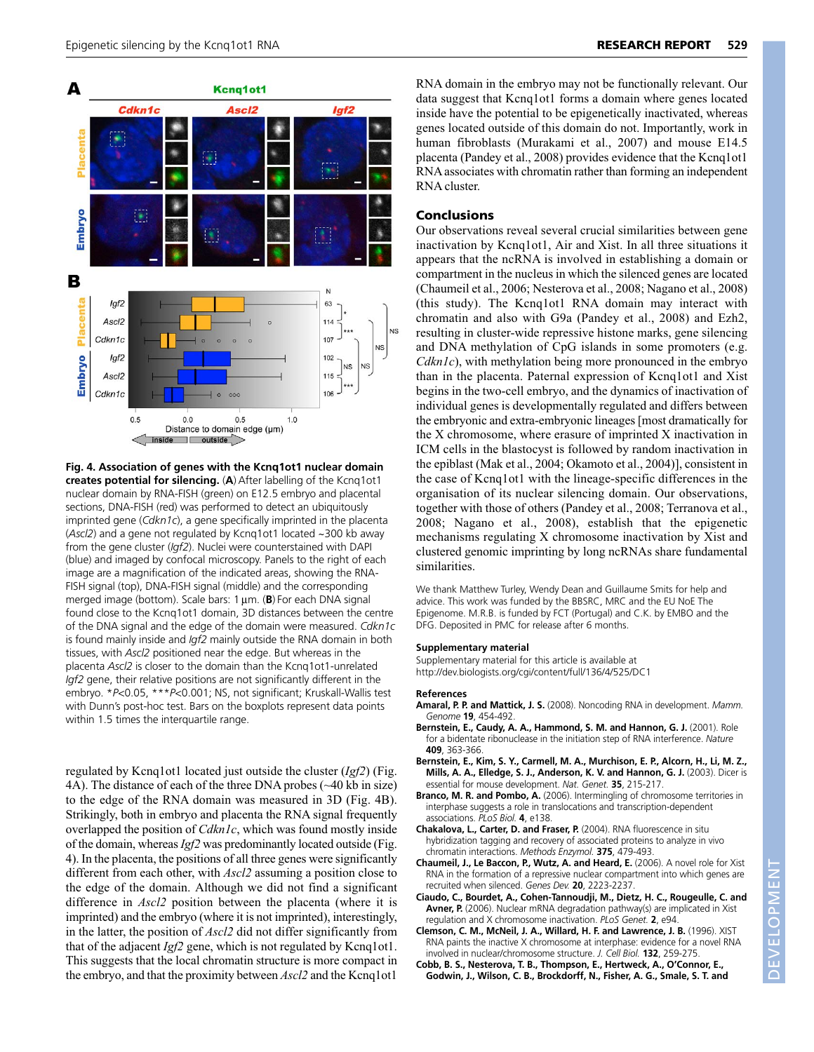

**Fig. 4. Association of genes with the Kcnq1ot1 nuclear domain creates potential for silencing.** (**A**) After labelling of the Kcnq1ot1 nuclear domain by RNA-FISH (green) on E12.5 embryo and placental sections, DNA-FISH (red) was performed to detect an ubiquitously imprinted gene (*Cdkn1c*), a gene specifically imprinted in the placenta (*Ascl2*) and a gene not regulated by Kcnq1ot1 located ~300 kb away from the gene cluster (*Igf2*). Nuclei were counterstained with DAPI (blue) and imaged by confocal microscopy. Panels to the right of each image are a magnification of the indicated areas, showing the RNA-FISH signal (top), DNA-FISH signal (middle) and the corresponding merged image (bottom). Scale bars: 1 μm. (**B**) For each DNA signal found close to the Kcnq1ot1 domain, 3D distances between the centre of the DNA signal and the edge of the domain were measured. *Cdkn1c* is found mainly inside and *Igf2* mainly outside the RNA domain in both tissues, with *Ascl2* positioned near the edge. But whereas in the placenta *Ascl2* is closer to the domain than the Kcnq1ot1-unrelated *Igf2* gene, their relative positions are not significantly different in the embryo. \**P*<0.05, \*\*\**P*<0.001; NS, not significant; Kruskall-Wallis test with Dunn's post-hoc test. Bars on the boxplots represent data points within 1.5 times the interquartile range.

regulated by Kcnq1ot1 located just outside the cluster (*Igf2*) (Fig. 4A). The distance of each of the three DNA probes (~40 kb in size) to the edge of the RNA domain was measured in 3D (Fig. 4B). Strikingly, both in embryo and placenta the RNA signal frequently overlapped the position of *Cdkn1c*, which was found mostly inside of the domain, whereas *Igf2* was predominantly located outside (Fig. 4). In the placenta, the positions of all three genes were significantly different from each other, with *Ascl2* assuming a position close to the edge of the domain. Although we did not find a significant difference in *Ascl2* position between the placenta (where it is imprinted) and the embryo (where it is not imprinted), interestingly, in the latter, the position of *Ascl2* did not differ significantly from that of the adjacent *Igf2* gene, which is not regulated by Kcnq1ot1. This suggests that the local chromatin structure is more compact in the embryo, and that the proximity between *Ascl2* and the Kcnq1ot1

RNA domain in the embryo may not be functionally relevant. Our data suggest that Kcnq1ot1 forms a domain where genes located inside have the potential to be epigenetically inactivated, whereas genes located outside of this domain do not. Importantly, work in human fibroblasts (Murakami et al., 2007) and mouse E14.5 placenta (Pandey et al., 2008) provides evidence that the Kcnq1ot1 RNA associates with chromatin rather than forming an independent RNA cluster.

# **Conclusions**

Our observations reveal several crucial similarities between gene inactivation by Kcnq1ot1, Air and Xist. In all three situations it appears that the ncRNA is involved in establishing a domain or compartment in the nucleus in which the silenced genes are located (Chaumeil et al., 2006; Nesterova et al., 2008; Nagano et al., 2008) (this study). The Kcnq1ot1 RNA domain may interact with chromatin and also with G9a (Pandey et al., 2008) and Ezh2, resulting in cluster-wide repressive histone marks, gene silencing and DNA methylation of CpG islands in some promoters (e.g. *Cdkn1c*), with methylation being more pronounced in the embryo than in the placenta. Paternal expression of Kcnq1ot1 and Xist begins in the two-cell embryo, and the dynamics of inactivation of individual genes is developmentally regulated and differs between the embryonic and extra-embryonic lineages [most dramatically for the X chromosome, where erasure of imprinted X inactivation in ICM cells in the blastocyst is followed by random inactivation in the epiblast (Mak et al., 2004; Okamoto et al., 2004)], consistent in the case of Kcnq1ot1 with the lineage-specific differences in the organisation of its nuclear silencing domain. Our observations, together with those of others (Pandey et al., 2008; Terranova et al., 2008; Nagano et al., 2008), establish that the epigenetic mechanisms regulating X chromosome inactivation by Xist and clustered genomic imprinting by long ncRNAs share fundamental similarities.

We thank Matthew Turley, Wendy Dean and Guillaume Smits for help and advice. This work was funded by the BBSRC, MRC and the EU NoE The Epigenome. M.R.B. is funded by FCT (Portugal) and C.K. by EMBO and the DFG. Deposited in PMC for release after 6 months.

## **Supplementary material**

Supplementary material for this article is available at http://dev.biologists.org/cgi/content/full/136/4/525/DC1

#### **References**

- **Amaral, P. P. and Mattick, J. S.** (2008). Noncoding RNA in development. *Mamm. Genome* **19**, 454-492.
- **Bernstein, E., Caudy, A. A., Hammond, S. M. and Hannon, G. J.** (2001). Role for a bidentate ribonuclease in the initiation step of RNA interference. *Nature* **409**, 363-366.
- **Bernstein, E., Kim, S. Y., Carmell, M. A., Murchison, E. P., Alcorn, H., Li, M. Z., Mills, A. A., Elledge, S. J., Anderson, K. V. and Hannon, G. J.** (2003). Dicer is essential for mouse development. *Nat. Genet.* **35**, 215-217.
- **Branco, M. R. and Pombo, A.** (2006). Intermingling of chromosome territories in interphase suggests a role in translocations and transcription-dependent associations. *PLoS Biol.* **4**, e138.
- **Chakalova, L., Carter, D. and Fraser, P.** (2004). RNA fluorescence in situ hybridization tagging and recovery of associated proteins to analyze in vivo chromatin interactions. *Methods Enzymol.* **375**, 479-493.
- **Chaumeil, J., Le Baccon, P., Wutz, A. and Heard, E.** (2006). A novel role for Xist RNA in the formation of a repressive nuclear compartment into which genes are recruited when silenced. *Genes Dev.* **20**, 2223-2237.
- **Ciaudo, C., Bourdet, A., Cohen-Tannoudji, M., Dietz, H. C., Rougeulle, C. and Avner, P.** (2006). Nuclear mRNA degradation pathway(s) are implicated in Xist regulation and X chromosome inactivation. *PLoS Genet.* **2**, e94.
- **Clemson, C. M., McNeil, J. A., Willard, H. F. and Lawrence, J. B.** (1996). XIST RNA paints the inactive X chromosome at interphase: evidence for a novel RNA involved in nuclear/chromosome structure. *J. Cell Biol.* **132**, 259-275.
- **Cobb, B. S., Nesterova, T. B., Thompson, E., Hertweck, A., O'Connor, E., Godwin, J., Wilson, C. B., Brockdorff, N., Fisher, A. G., Smale, S. T. and**